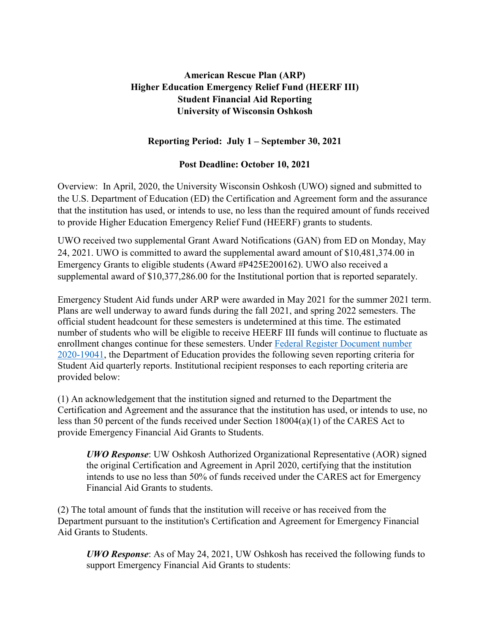## **American Rescue Plan (ARP) Higher Education Emergency Relief Fund (HEERF III) Student Financial Aid Reporting University of Wisconsin Oshkosh**

## **Reporting Period: July 1 – September 30, 2021**

## **Post Deadline: October 10, 2021**

Overview: In April, 2020, the University Wisconsin Oshkosh (UWO) signed and submitted to the U.S. Department of Education (ED) the Certification and Agreement form and the assurance that the institution has used, or intends to use, no less than the required amount of funds received to provide Higher Education Emergency Relief Fund (HEERF) grants to students.

UWO received two supplemental Grant Award Notifications (GAN) from ED on Monday, May 24, 2021. UWO is committed to award the supplemental award amount of \$10,481,374.00 in Emergency Grants to eligible students (Award #P425E200162). UWO also received a supplemental award of \$10,377,286.00 for the Institutional portion that is reported separately.

Emergency Student Aid funds under ARP were awarded in May 2021 for the summer 2021 term. Plans are well underway to award funds during the fall 2021, and spring 2022 semesters. The official student headcount for these semesters is undetermined at this time. The estimated number of students who will be eligible to receive HEERF III funds will continue to fluctuate as enrollment changes continue for these semesters. Under [Federal Register Document number](https://www.federalregister.gov/documents/2020/08/31/2020-19041/notice-of-public-posting-requirement-of-grant-information-for-higher-education-emergency-relief-fund)  [2020-19041,](https://www.federalregister.gov/documents/2020/08/31/2020-19041/notice-of-public-posting-requirement-of-grant-information-for-higher-education-emergency-relief-fund) the Department of Education provides the following seven reporting criteria for Student Aid quarterly reports. Institutional recipient responses to each reporting criteria are provided below:

(1) An acknowledgement that the institution signed and returned to the Department the Certification and Agreement and the assurance that the institution has used, or intends to use, no less than 50 percent of the funds received under Section 18004(a)(1) of the CARES Act to provide Emergency Financial Aid Grants to Students.

*UWO Response*: UW Oshkosh Authorized Organizational Representative (AOR) signed the original Certification and Agreement in April 2020, certifying that the institution intends to use no less than 50% of funds received under the CARES act for Emergency Financial Aid Grants to students.

(2) The total amount of funds that the institution will receive or has received from the Department pursuant to the institution's Certification and Agreement for Emergency Financial Aid Grants to Students.

*UWO Response*: As of May 24, 2021, UW Oshkosh has received the following funds to support Emergency Financial Aid Grants to students: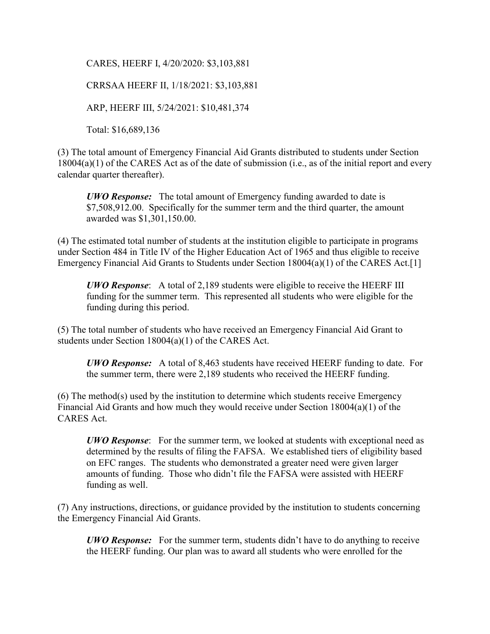CARES, HEERF I, 4/20/2020: \$3,103,881

CRRSAA HEERF II, 1/18/2021: \$3,103,881

ARP, HEERF III, 5/24/2021: \$10,481,374

Total: \$16,689,136

(3) The total amount of Emergency Financial Aid Grants distributed to students under Section 18004(a)(1) of the CARES Act as of the date of submission (i.e., as of the initial report and every calendar quarter thereafter).

*UWO Response:* The total amount of Emergency funding awarded to date is \$7,508,912.00. Specifically for the summer term and the third quarter, the amount awarded was \$1,301,150.00.

(4) The estimated total number of students at the institution eligible to participate in programs under Section 484 in Title IV of the Higher Education Act of 1965 and thus eligible to receive Emergency Financial Aid Grants to Students under Section 18004(a)(1) of the CARES Act.[1]

*UWO Response*: A total of 2,189 students were eligible to receive the HEERF III funding for the summer term. This represented all students who were eligible for the funding during this period.

(5) The total number of students who have received an Emergency Financial Aid Grant to students under Section 18004(a)(1) of the CARES Act.

*UWO Response:* A total of 8,463 students have received HEERF funding to date. For the summer term, there were 2,189 students who received the HEERF funding.

(6) The method(s) used by the institution to determine which students receive Emergency Financial Aid Grants and how much they would receive under Section 18004(a)(1) of the CARES Act.

*UWO Response*: For the summer term, we looked at students with exceptional need as determined by the results of filing the FAFSA. We established tiers of eligibility based on EFC ranges. The students who demonstrated a greater need were given larger amounts of funding. Those who didn't file the FAFSA were assisted with HEERF funding as well.

(7) Any instructions, directions, or guidance provided by the institution to students concerning the Emergency Financial Aid Grants.

*UWO Response:* For the summer term, students didn't have to do anything to receive the HEERF funding. Our plan was to award all students who were enrolled for the